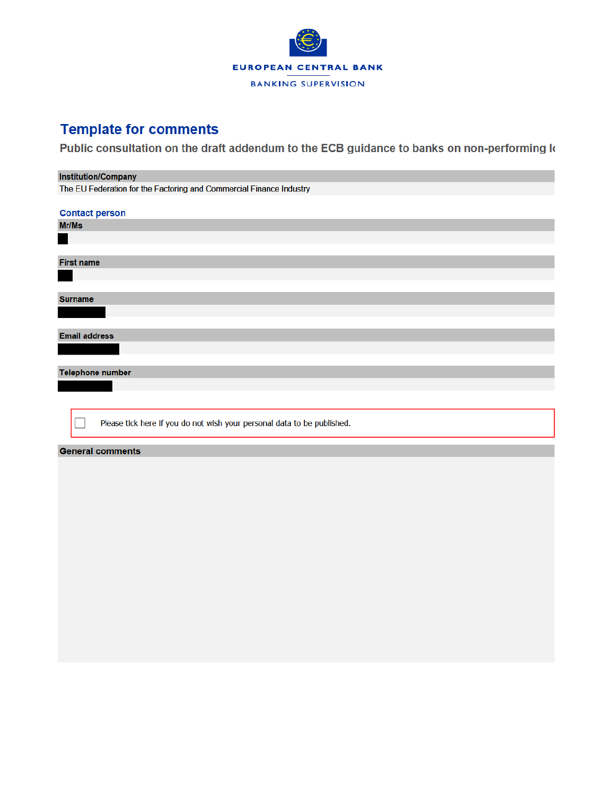

## **Template for comments**

Public consultation on the draft addendum to the ECB guidance to banks on non-performing k

## **Institution/Company**

The EU Federation for the Factoring and Commercial Finance Industry

| <b>Contact person</b>                                                   |  |  |  |  |  |  |  |
|-------------------------------------------------------------------------|--|--|--|--|--|--|--|
| Mr/Ms                                                                   |  |  |  |  |  |  |  |
|                                                                         |  |  |  |  |  |  |  |
|                                                                         |  |  |  |  |  |  |  |
| <b>First name</b>                                                       |  |  |  |  |  |  |  |
|                                                                         |  |  |  |  |  |  |  |
|                                                                         |  |  |  |  |  |  |  |
| <b>Surname</b>                                                          |  |  |  |  |  |  |  |
|                                                                         |  |  |  |  |  |  |  |
|                                                                         |  |  |  |  |  |  |  |
| <b>Email address</b>                                                    |  |  |  |  |  |  |  |
|                                                                         |  |  |  |  |  |  |  |
|                                                                         |  |  |  |  |  |  |  |
| <b>Telephone number</b>                                                 |  |  |  |  |  |  |  |
|                                                                         |  |  |  |  |  |  |  |
|                                                                         |  |  |  |  |  |  |  |
|                                                                         |  |  |  |  |  |  |  |
| Please tick here if you do not wish your personal data to be published. |  |  |  |  |  |  |  |
|                                                                         |  |  |  |  |  |  |  |
| <b>General comments</b>                                                 |  |  |  |  |  |  |  |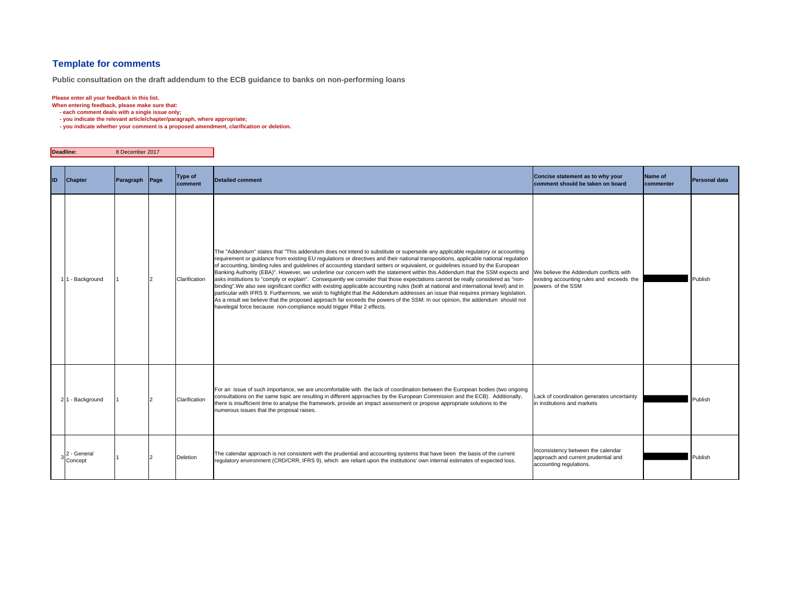## **Template for comments**

**Public consultation on the draft addendum to the ECB guidance to banks on non-performing loans**

## **Please enter all your feedback in this list.**

**When entering feedback, please make sure that:** 

 **- each comment deals with a single issue only;**

- **you indicate the relevant article/chapter/paragraph, where appropriate;**
- **you indicate whether your comment is a proposed amendment, clarification or deletion.**

| Deadline: |                        | 8 December 2017 |      |                           |                                                                                                                                                                                                                                                                                                                                                                                                                                                                                                                                                                                                                                                                                                                                                                                                                                                                                                                                                                                                                                                                                                                                                                    |                                                                                                          |                      |               |
|-----------|------------------------|-----------------|------|---------------------------|--------------------------------------------------------------------------------------------------------------------------------------------------------------------------------------------------------------------------------------------------------------------------------------------------------------------------------------------------------------------------------------------------------------------------------------------------------------------------------------------------------------------------------------------------------------------------------------------------------------------------------------------------------------------------------------------------------------------------------------------------------------------------------------------------------------------------------------------------------------------------------------------------------------------------------------------------------------------------------------------------------------------------------------------------------------------------------------------------------------------------------------------------------------------|----------------------------------------------------------------------------------------------------------|----------------------|---------------|
| <b>ID</b> | <b>Chapter</b>         | Paragraph       | Page | <b>Type of</b><br>comment | <b>Detailed comment</b>                                                                                                                                                                                                                                                                                                                                                                                                                                                                                                                                                                                                                                                                                                                                                                                                                                                                                                                                                                                                                                                                                                                                            | Concise statement as to why your<br>comment should be taken on board                                     | Name of<br>commenter | Personal data |
|           | 11 - Background        |                 |      | Clarification             | The "Addendum" states that "This addendum does not intend to substitute or supersede any applicable regulatory or accounting<br>requirement or quidance from existing EU requlations or directives and their national transpositions, applicable national requlation<br>of accounting, binding rules and quidelines of accounting standard setters or equivalent, or guidelines issued by the European<br>Banking Authority (EBA)". However, we underline our concern with the statement within this Addendum that the SSM expects and<br>asks institutions to "comply or explain". Consequently we consider that those expectations cannot be really considered as "non-<br>binding". We also see significant conflict with existing applicable accounting rules (both at national and international level) and in<br>particular with IFRS 9. Furthermore, we wish to highlight that the Addendum addresses an issue that requires primary legislation.<br>As a result we believe that the proposed approach far exceeds the powers of the SSM: In our opinion, the addendum should not<br>havelegal force because non-compliance would trigger Pillar 2 effects. | We believe the Addendum conflicts with<br>existing accounting rules and exceeds the<br>powers of the SSM |                      | Publish       |
|           | 21 - Background        |                 |      | Clarification             | For an issue of such importance, we are uncomfortable with the lack of coordination between the European bodies (two ongoing<br>consultations on the same topic are resulting in different approaches by the European Commission and the ECB). Additionally,<br>there is insufficient time to analyse the framework, provide an impact assessment or propose appropriate solutions to the<br>numerous issues that the proposal raises.                                                                                                                                                                                                                                                                                                                                                                                                                                                                                                                                                                                                                                                                                                                             | Lack of coordination generates uncertainty<br>in institutions and markets                                |                      | Publish       |
|           | 2 - General<br>Concept |                 |      | Deletion                  | The calendar approach is not consistent with the prudential and accounting systems that have been the basis of the current<br>regulatory environment (CRD/CRR, IFRS 9), which are reliant upon the institutions' own internal estimates of expected loss.                                                                                                                                                                                                                                                                                                                                                                                                                                                                                                                                                                                                                                                                                                                                                                                                                                                                                                          | Inconsistency between the calendar<br>approach and current prudential and<br>accounting regulations.     |                      | Publish       |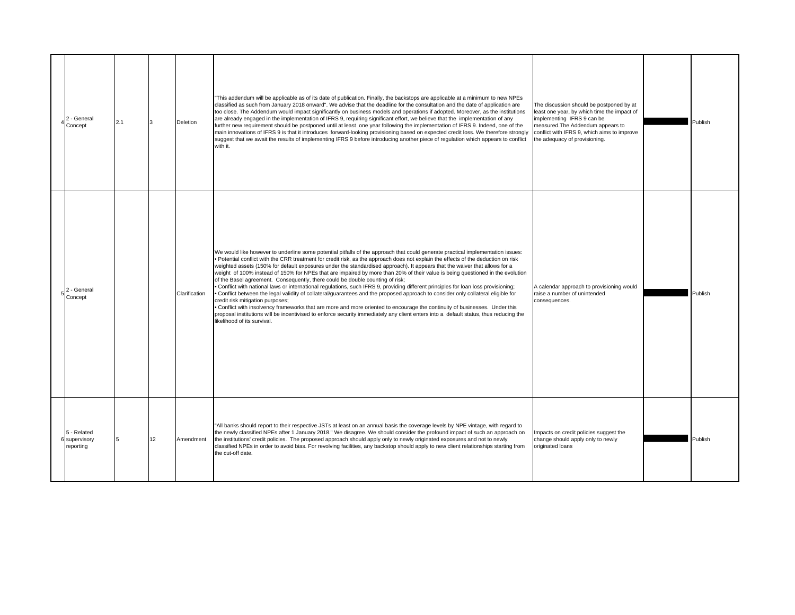| 2 - General<br>Concept                    | 2.1 |    | Deletion      | This addendum will be applicable as of its date of publication. Finally, the backstops are applicable at a minimum to new NPEs<br>classified as such from January 2018 onward". We advise that the deadline for the consultation and the date of application are<br>too close. The Addendum would impact significantly on business models and operations if adopted. Moreover, as the institutions<br>are already engaged in the implementation of IFRS 9, requiring significant effort, we believe that the implementation of any<br>further new requirement should be postponed until at least one year following the implementation of IFRS 9. Indeed, one of the<br>main innovations of IFRS 9 is that it introduces forward-looking provisioning based on expected credit loss. We therefore strongly<br>suggest that we await the results of implementing IFRS 9 before introducing another piece of regulation which appears to conflict<br>with it.                                                                                                                                                                                                                                                                           | The discussion should be postponed by at<br>least one year, by which time the impact of<br>implementing IFRS 9 can be<br>measured. The Addendum appears to<br>conflict with IFRS 9, which aims to improve<br>the adequacy of provisioning. | Publish |
|-------------------------------------------|-----|----|---------------|---------------------------------------------------------------------------------------------------------------------------------------------------------------------------------------------------------------------------------------------------------------------------------------------------------------------------------------------------------------------------------------------------------------------------------------------------------------------------------------------------------------------------------------------------------------------------------------------------------------------------------------------------------------------------------------------------------------------------------------------------------------------------------------------------------------------------------------------------------------------------------------------------------------------------------------------------------------------------------------------------------------------------------------------------------------------------------------------------------------------------------------------------------------------------------------------------------------------------------------|--------------------------------------------------------------------------------------------------------------------------------------------------------------------------------------------------------------------------------------------|---------|
| $5\frac{2}{6}$ - General<br>Concept       |     |    | Clarification | We would like however to underline some potential pitfalls of the approach that could generate practical implementation issues:<br>Potential conflict with the CRR treatment for credit risk, as the approach does not explain the effects of the deduction on risk<br>weighted assets (150% for default exposures under the standardised approach). It appears that the waiver that allows for a<br>weight of 100% instead of 150% for NPEs that are impaired by more than 20% of their value is being questioned in the evolution<br>of the Basel agreement. Consequently, there could be double counting of risk;<br>Conflict with national laws or international regulations, such IFRS 9, providing different principles for loan loss provisioning;<br>Conflict between the legal validity of collateral/quarantees and the proposed approach to consider only collateral eligible for<br>credit risk mitigation purposes;<br>Conflict with insolvency frameworks that are more and more oriented to encourage the continuity of businesses. Under this<br>proposal institutions will be incentivised to enforce security immediately any client enters into a default status, thus reducing the<br>likelihood of its survival. | A calendar approach to provisioning would<br>raise a number of unintended<br>consequences.                                                                                                                                                 | Publish |
| 5 - Related<br>6 supervisory<br>reporting |     | 12 | Amendment     | 'All banks should report to their respective JSTs at least on an annual basis the coverage levels by NPE vintage, with regard to<br>the newly classified NPEs after 1 January 2018." We disagree. We should consider the profound impact of such an approach on<br>the institutions' credit policies. The proposed approach should apply only to newly originated exposures and not to newly<br>classified NPEs in order to avoid bias. For revolving facilities, any backstop should apply to new client relationships starting from<br>the cut-off date.                                                                                                                                                                                                                                                                                                                                                                                                                                                                                                                                                                                                                                                                            | Impacts on credit policies suggest the<br>change should apply only to newly<br>originated loans                                                                                                                                            | Publish |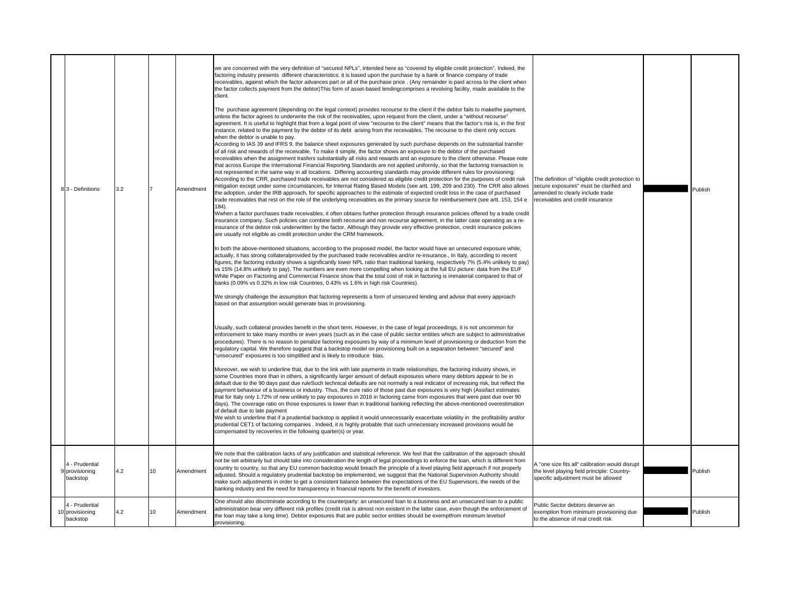| 8 3 - Definitions                             | 3.2 |    | Amendment | we are concerned with the very definition of "secured NPLs", intended here as "covered by eligible credit protection". Indeed, the<br>factoring industry presents different characteristics: it is based upon the purchase by a bank or finance company of trade<br>receivables, against which the factor advances part or all of the purchase price . (Any remainder is paid across to the client when<br>the factor collects payment from the debtor) This form of asset-based lendingcomprises a revolving facility, made available to the<br>client.<br>The purchase agreement (depending on the legal context) provides recourse to the client if the debtor fails to makethe payment,<br>unless the factor agrees to underwrite the risk of the receivables, upon request from the client, under a "without recourse"<br>agreement. It is useful to highlight that from a legal point of view "recourse to the client" means that the factor's risk is, in the first<br>instance, related to the payment by the debtor of its debt arising from the receivables. The recourse to the client only occurs<br>when the debtor is unable to pay.<br>According to IAS 39 and IFRS 9, the balance sheet exposures generated by such purchase depends on the substantial transfer<br>of all risk and rewards of the receivable. To make it simple, the factor shows an exposure to the debtor of the purchased<br>receivables when the assignment trasfers substantially all risks and rewards and an exposure to the client otherwise. Please note<br>that across Europe the International Financial Reporting Standards are not applied uniformly, so that the factoring transaction is<br>not represented in the same way in all locations. Differing accounting standards may provide different rules for provisioning:<br>According to the CRR, purchased trade receivables are not considered as eligible credit protection for the purposes of credit risk<br>mitigation except under some circumstances, for Internal Rating Based Models (see artt. 199, 209 and 230). The CRR also allows<br>the adoption, under the IRB approach, for specific approaches to the estimate of expected credit loss in the case of purchased<br>trade receivables that rest on the role of the underlying receivables as the primary source for reimbursement (see artt. 153, 154 e<br>$184$ .<br>Wwhen a factor purchases trade receivables, it often obtains further protection through insurance policies offered by a trade credit<br>insurance company. Such policies can combine both recourse and non recourse agreement, in the latter case operating as a re-<br>insurance of the debtor risk underwritten by the factor. Although they provide very effective protection, credit insurance policies<br>are usually not eligible as credit protection under the CRM framework.<br>In both the above-mentioned situations, according to the proposed model, the factor would have an unsecured exposure while,<br>actually, it has strong collateralprovided by the purchased trade receivables and/or re-insurance., In Italy, according to recent<br>figures, the factoring industry shows a significantly lower NPL ratio than traditional banking, respectively 7% (5.4% unlikely to pay)<br>vs 15% (14.8% unlikely to pay). The numbers are even more compelling when looking at the full EU picture: data from the EUF<br>White Paper on Factoring and Commercial Finance show that the total cost of risk in factoring is immaterial compared to that of<br>banks (0.09% vs 0.32% in low risk Countries, 0.43% vs 1.6% in high risk Countries).<br>We strongly challenge the assumption that factoring represents a form of unsecured lending and advise that every approach<br>based on that assumption would generate bias in provisioning.<br>Usually, such collateral provides benefit in the short term. However, in the case of legal proceedings, it is not uncommon for<br>enforcement to take many months or even years (such as in the case of public sector entities which are subject to administrative<br>procedures). There is no reason to penalize factoring exposures by way of a minimum level of provisioning or deduction from the<br>regulatory capital. We therefore suggest that a backstop model on provisioning built on a separation between "secured" and<br>"unsecured" exposures is too simplified and is likely to introduce bias.<br>Moreover, we wish to underline that, due to the link with late payments in trade relationships, the factoring industry shows, in<br>some Countries more than in others, a significantly larger amount of default exposures where many debtors appear to be in<br>default due to the 90 days past due ruleSuch technical defaults are not normally a real indicator of increasing risk, but reflect the<br>payment behaviour of a business or industry. Thus, the cure ratio of those past due exposures is very high (Assifact estimates<br>that for Italy only 1.72% of new unlikely to pay exposures in 2016 in factoring came from exposures that were past due over 90<br>days). The coverage ratio on those exposures is lower than in traditional banking reflecting the above-mentioned overestimation<br>of default due to late payment<br>We wish to underline that if a prudential backstop is applied it would unnecessarily exacerbate volatility in the profitability and/or<br>prudential CET1 of factoring companies . Indeed, it is highly probable that such unnecessary increased provisions would be<br>compensated by recoveries in the following quarter(s) or year. | The definition of "eligible credit protection to<br>secure exposures" must be clarified and<br>amended to clearly include trade<br>receivables and credit insurance | Publish |
|-----------------------------------------------|-----|----|-----------|----------------------------------------------------------------------------------------------------------------------------------------------------------------------------------------------------------------------------------------------------------------------------------------------------------------------------------------------------------------------------------------------------------------------------------------------------------------------------------------------------------------------------------------------------------------------------------------------------------------------------------------------------------------------------------------------------------------------------------------------------------------------------------------------------------------------------------------------------------------------------------------------------------------------------------------------------------------------------------------------------------------------------------------------------------------------------------------------------------------------------------------------------------------------------------------------------------------------------------------------------------------------------------------------------------------------------------------------------------------------------------------------------------------------------------------------------------------------------------------------------------------------------------------------------------------------------------------------------------------------------------------------------------------------------------------------------------------------------------------------------------------------------------------------------------------------------------------------------------------------------------------------------------------------------------------------------------------------------------------------------------------------------------------------------------------------------------------------------------------------------------------------------------------------------------------------------------------------------------------------------------------------------------------------------------------------------------------------------------------------------------------------------------------------------------------------------------------------------------------------------------------------------------------------------------------------------------------------------------------------------------------------------------------------------------------------------------------------------------------------------------------------------------------------------------------------------------------------------------------------------------------------------------------------------------------------------------------------------------------------------------------------------------------------------------------------------------------------------------------------------------------------------------------------------------------------------------------------------------------------------------------------------------------------------------------------------------------------------------------------------------------------------------------------------------------------------------------------------------------------------------------------------------------------------------------------------------------------------------------------------------------------------------------------------------------------------------------------------------------------------------------------------------------------------------------------------------------------------------------------------------------------------------------------------------------------------------------------------------------------------------------------------------------------------------------------------------------------------------------------------------------------------------------------------------------------------------------------------------------------------------------------------------------------------------------------------------------------------------------------------------------------------------------------------------------------------------------------------------------------------------------------------------------------------------------------------------------------------------------------------------------------------------------------------------------------------------------------------------------------------------------------------------------------------------------------------------------------------------------------------------------------------------------------------------------------------------------------------------------------------------------------------------------------------------------------------------------------------------------------------------------------------------------------------------------------------------------------------------------------------------------------------------------------------------------------------------------------------------------------------------------------------------------------------------------------------------------------------------------------------------------------------------------------------------------------------------------------------------------------------------------------------------------------|---------------------------------------------------------------------------------------------------------------------------------------------------------------------|---------|
| 4 - Prudential<br>9 provisioning<br>backstop  | 4.2 | 10 | Amendment | We note that the calibration lacks of any justification and statistical reference. We feel that the calibration of the approach should<br>not be set arbitrarily but should take into consideration the length of legal proceedings to enforce the loan, which is different from<br>country to country, so that any EU common backstop would breach the principle of a level playing field approach if not properly<br>adjusted. Should a regulatory prudential backstop be implemented, we suggest that the National Supervision Authority should<br>make such adjustments in order to get a consistent balance between the expectations of the EU Supervisors, the needs of the<br>banking industry and the need for transparency in financial reports for the benefit of investors.                                                                                                                                                                                                                                                                                                                                                                                                                                                                                                                                                                                                                                                                                                                                                                                                                                                                                                                                                                                                                                                                                                                                                                                                                                                                                                                                                                                                                                                                                                                                                                                                                                                                                                                                                                                                                                                                                                                                                                                                                                                                                                                                                                                                                                                                                                                                                                                                                                                                                                                                                                                                                                                                                                                                                                                                                                                                                                                                                                                                                                                                                                                                                                                                                                                                                                                                                                                                                                                                                                                                                                                                                                                                                                                                                                                                                                                                                                                                                                                                                                                                                                                                                                                                                                                                                                                                                                                                                                                                                                                                                                                                                                                                                                                                                                                                                                                                               | A "one size fits all" calibration would disrupt<br>the level playing field principle: Country-<br>specific adjustment must be allowed                               | Publish |
| 4 - Prudential<br>10 provisioning<br>backstop | 4.2 | 10 | Amendment | One should also discriminate according to the counterparty: an unsecured loan to a business and an unsecured loan to a public<br>administration bear very different risk profiles (credit risk is almost non existent in the latter case, even though the enforcement of<br>the loan may take a long time). Debtor exposures that are public sector entities should be exemptfrom minimum levelsof<br>provisioning.                                                                                                                                                                                                                                                                                                                                                                                                                                                                                                                                                                                                                                                                                                                                                                                                                                                                                                                                                                                                                                                                                                                                                                                                                                                                                                                                                                                                                                                                                                                                                                                                                                                                                                                                                                                                                                                                                                                                                                                                                                                                                                                                                                                                                                                                                                                                                                                                                                                                                                                                                                                                                                                                                                                                                                                                                                                                                                                                                                                                                                                                                                                                                                                                                                                                                                                                                                                                                                                                                                                                                                                                                                                                                                                                                                                                                                                                                                                                                                                                                                                                                                                                                                                                                                                                                                                                                                                                                                                                                                                                                                                                                                                                                                                                                                                                                                                                                                                                                                                                                                                                                                                                                                                                                                                  | Public Sector debtors deserve an<br>exemption from minimum provisioning due<br>to the absence of real credit risk                                                   | Publish |